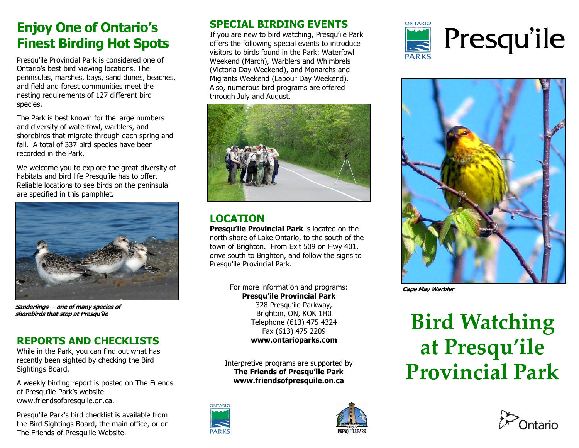### **Enjoy One of Ontario's Finest Birding Hot Spots**

Presqu'ile Provincial Park is considered one of Ontario's best bird viewing locations. The peninsulas, marshes, bays, sand dunes, beaches, and field and forest communities meet the nesting requirements of 127 different bird species.

The Park is best known for the large numbers and diversity of waterfowl, warblers, and shorebirds that migrate through each spring and fall. A total of 337 bird species have been recorded in the Park.

We welcome you to explore the great diversity of habitats and bird life Presqu'ile has to offer. Reliable locations to see birds on the peninsula are specified in this pamphlet.



**Sanderlings — one of many species of shorebirds that stop at Presqu'ile** 

#### **REPORTS AND CHECKLISTS**

While in the Park, you can find out what has recently been sighted by checking the Bird Sightings Board.

A weekly birding report is posted on The Friends of Presqu'ile Park's website www.friendsofpresquile.on.ca.

Presqu'ile Park's bird checklist is available from the Bird Sightings Board, the main office, or on The Friends of Presqu'ile Website.

#### **SPECIAL BIRDING EVENTS**

If you are new to bird watching, Presqu'ile Park offers the following special events to introduce visitors to birds found in the Park: Waterfowl Weekend (March), Warblers and Whimbrels (Victoria Day Weekend), and Monarchs and Migrants Weekend (Labour Day Weekend). Also, numerous bird programs are offered through July and August.



#### **LOCATION**

**Presqu'ile Provincial Park** is located on the north shore of Lake Ontario, to the south of the town of Brighton. From Exit 509 on Hwy 401, drive south to Brighton, and follow the signs to Presqu'ile Provincial Park.

> For more information and programs: **Presqu'ile Provincial Park** 328 Presqu'ile Parkway, Brighton, ON, KOK 1H0 Telephone (613) 475 4324 Fax (613) 475 2209 **www.ontarioparks.com**

Interpretive programs are supported by **The Friends of Presqu'ile Park www.friendsofpresquile.on.ca**









**Cape May Warbler** 

## **Bird Watching at Presqu'ile Provincial Park**